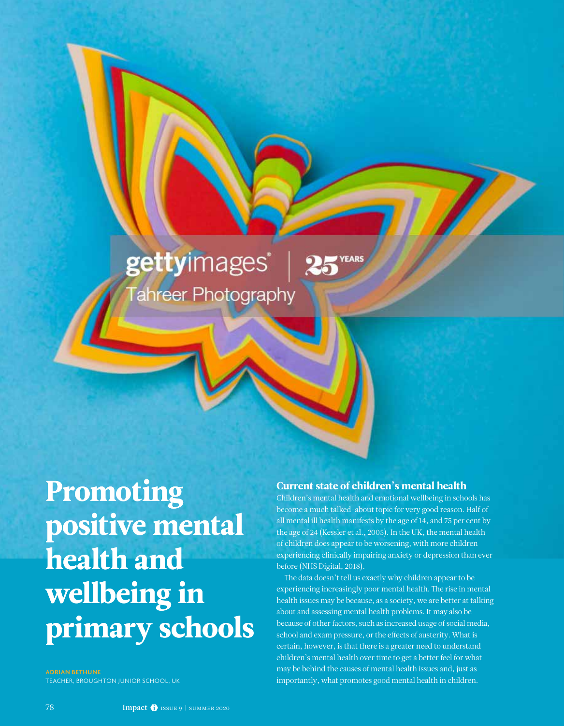# gettyimages® Tahreer Photography

Promoting positive mental health and wellbeing in primary schools

**ADRIAN BETHUNE** TEACHER, BROUGHTON JUNIOR SCHOOL, UK

#### Current state of children's mental health

25 YEARS

Children's mental health and emotional wellbeing in schools has become a much talked-about topic for very good reason. Half of all mental ill health manifests by the age of 14, and 75 per cent by the age of 24 (Kessler et al., 2005). In the UK, the mental health of children does appear to be worsening, with more children experiencing clinically impairing anxiety or depression than ever before (NHS Digital, 2018).

The data doesn't tell us exactly why children appear to be experiencing increasingly poor mental health. The rise in mental health issues may be because, as a society, we are better at talking about and assessing mental health problems. It may also be because of other factors, such as increased usage of social media, school and exam pressure, or the effects of austerity. What is certain, however, is that there is a greater need to understand children's mental health over time to get a better feel for what may be behind the causes of mental health issues and, just as importantly, what promotes good mental health in children.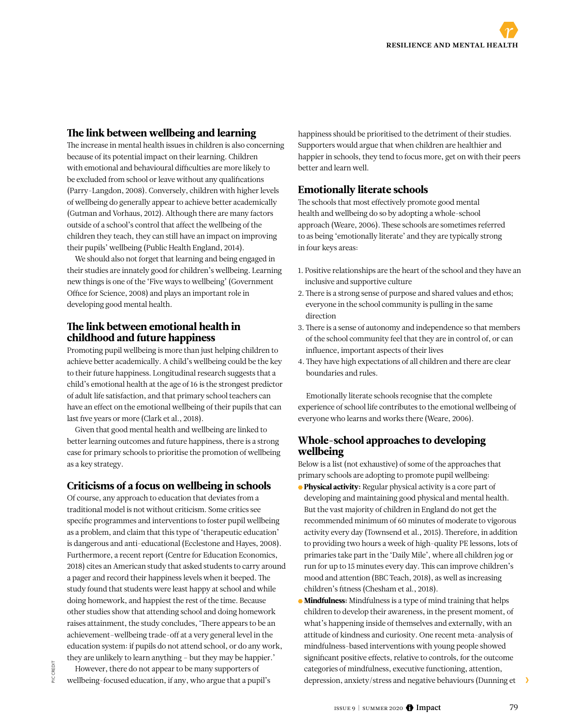## The link between wellbeing and learning

The increase in mental health issues in children is also concerning because of its potential impact on their learning. Children with emotional and behavioural difficulties are more likely to be excluded from school or leave without any qualifications (Parry-Langdon, 2008). Conversely, children with higher levels of wellbeing do generally appear to achieve better academically (Gutman and Vorhaus, 2012). Although there are many factors outside of a school's control that affect the wellbeing of the children they teach, they can still have an impact on improving their pupils' wellbeing (Public Health England, 2014).

We should also not forget that learning and being engaged in their studies are innately good for children's wellbeing. Learning new things is one of the 'Five ways to wellbeing' (Government Office for Science, 2008) and plays an important role in developing good mental health.

### The link between emotional health in childhood and future happiness

Promoting pupil wellbeing is more than just helping children to achieve better academically. A child's wellbeing could be the key to their future happiness. Longitudinal research suggests that a child's emotional health at the age of 16 is the strongest predictor of adult life satisfaction, and that primary school teachers can have an effect on the emotional wellbeing of their pupils that can last five years or more (Clark et al., 2018).

Given that good mental health and wellbeing are linked to better learning outcomes and future happiness, there is a strong case for primary schools to prioritise the promotion of wellbeing as a key strategy.

# Criticisms of a focus on wellbeing in schools

Of course, any approach to education that deviates from a traditional model is not without criticism. Some critics see specific programmes and interventions to foster pupil wellbeing as a problem, and claim that this type of 'therapeutic education' is dangerous and anti-educational (Ecclestone and Hayes, 2008). Furthermore, a recent report (Centre for Education Economics, 2018) cites an American study that asked students to carry around a pager and record their happiness levels when it beeped. The study found that students were least happy at school and while doing homework, and happiest the rest of the time. Because other studies show that attending school and doing homework raises attainment, the study concludes, 'There appears to be an achievement–wellbeing trade-off at a very general level in the education system: if pupils do not attend school, or do any work, they are unlikely to learn anything – but they may be happier.'

However, there do not appear to be many supporters of wellbeing-focused education, if any, who argue that a pupil's

PIC CREDIT

happiness should be prioritised to the detriment of their studies. Supporters would argue that when children are healthier and happier in schools, they tend to focus more, get on with their peers better and learn well.

# Emotionally literate schools

The schools that most effectively promote good mental health and wellbeing do so by adopting a whole-school approach (Weare, 2006). These schools are sometimes referred to as being 'emotionally literate' and they are typically strong in four keys areas:

- 1. Positive relationships are the heart of the school and they have an inclusive and supportive culture
- 2. There is a strong sense of purpose and shared values and ethos; everyone in the school community is pulling in the same direction
- 3. There is a sense of autonomy and independence so that members of the school community feel that they are in control of, or can influence, important aspects of their lives
- 4. They have high expectations of all children and there are clear boundaries and rules.

Emotionally literate schools recognise that the complete experience of school life contributes to the emotional wellbeing of everyone who learns and works there (Weare, 2006).

## Whole-school approaches to developing wellbeing

Below is a list (not exhaustive) of some of the approaches that primary schools are adopting to promote pupil wellbeing:

- **Physical activity:** Regular physical activity is a core part of developing and maintaining good physical and mental health. But the vast majority of children in England do not get the recommended minimum of 60 minutes of moderate to vigorous activity every day (Townsend et al., 2015). Therefore, in addition to providing two hours a week of high-quality PE lessons, lots of primaries take part in the 'Daily Mile', where all children jog or run for up to 15 minutes every day. This can improve children's mood and attention (BBC Teach, 2018), as well as increasing children's fitness (Chesham et al., 2018).
- Mindfulness: Mindfulness is a type of mind training that helps children to develop their awareness, in the present moment, of what's happening inside of themselves and externally, with an attitude of kindness and curiosity. One recent meta-analysis of mindfulness-based interventions with young people showed significant positive effects, relative to controls, for the outcome categories of mindfulness, executive functioning, attention, depression, anxiety/stress and negative behaviours (Dunning et